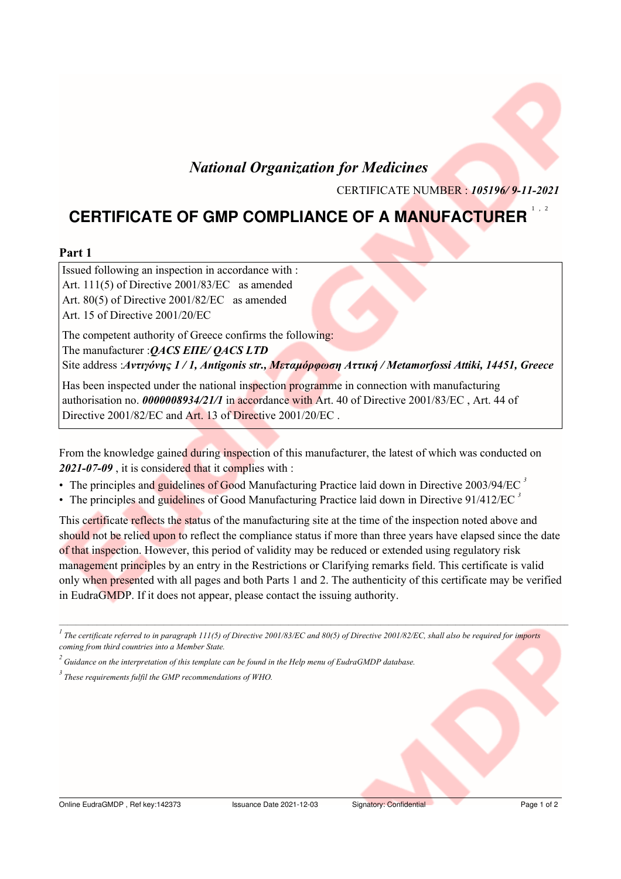## **National Organization for Medicines**

CERTIFICATE NUMBER : 105196/9-11-2021

# **CERTIFICATE OF GMP COMPLIANCE OF A MANUFACTURER**

### Part 1

Issued following an inspection in accordance with : Art. 111(5) of Directive 2001/83/EC as amended Art. 80(5) of Directive 2001/82/EC as amended Art. 15 of Directive 2001/20/EC The competent authority of Greece confirms the following: The manufacturer : OACS EITE/ OACS LTD Site address : Αντιγόνης 1/1, Antigonis str., Μεταμόρφωση Αττική / Metamorfossi Attiki, 14451, Greece Has been inspected under the national inspection programme in connection with manufacturing

authorisation no. 0000008934/21/1 in accordance with Art. 40 of Directive 2001/83/EC, Art. 44 of Directive 2001/82/EC and Art. 13 of Directive 2001/20/EC.

From the knowledge gained during inspection of this manufacturer, the latest of which was conducted on 2021-07-09, it is considered that it complies with:

- The principles and guidelines of Good Manufacturing Practice laid down in Directive 2003/94/EC<sup>3</sup>
- The principles and guidelines of Good Manufacturing Practice laid down in Directive  $91/412/EC$ <sup>3</sup>

This certificate reflects the status of the manufacturing site at the time of the inspection noted above and should not be relied upon to reflect the compliance status if more than three years have elapsed since the date of that inspection. However, this period of validity may be reduced or extended using regulatory risk management principles by an entry in the Restrictions or Clarifying remarks field. This certificate is valid only when presented with all pages and both Parts 1 and 2. The authenticity of this certificate may be verified in EudraGMDP. If it does not appear, please contact the issuing authority.

<sup>&</sup>lt;sup>1</sup> The certificate referred to in paragraph 111(5) of Directive 2001/83/EC and 80(5) of Directive 2001/82/EC, shall also be required for imports coming from third countries into a Member State.

 $\alpha$ <sup>2</sup> Guidance on the interpretation of this template can be found in the Help menu of EudraGMDP database.

 $3$  These requirements fulfil the GMP recommendations of WHO.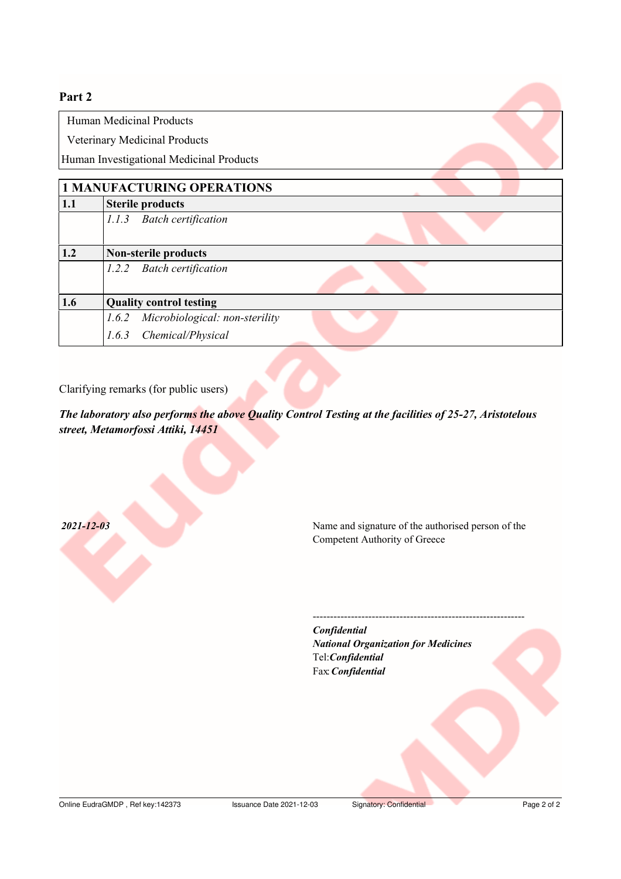### Part<sub>2</sub>

Human Medicinal Products

Veterinary Medicinal Products

Human Investigational Medicinal Products

| <b>1 MANUFACTURING OPERATIONS</b> |                                      |
|-----------------------------------|--------------------------------------|
| 1.1                               | <b>Sterile products</b>              |
|                                   | <b>Batch certification</b><br>1.1.3  |
| 1.2                               | Non-sterile products                 |
|                                   | <b>Batch certification</b><br>1.2.2  |
| 1.6                               | <b>Quality control testing</b>       |
|                                   | 1.6.2 Microbiological: non-sterility |
|                                   | Chemical/Physical<br>1.6.3           |

Clarifying remarks (for public users)

The laboratory also performs the above Quality Control Testing at the facilities of 25-27, Aristotelous street, Metamorfossi Attiki, 14451

 $2021 - 12 - 03$ 

Name and signature of the authorised person of the Competent Authority of Greece

Confidential **National Organization for Medicines** Tel:Confidential Fax Confidential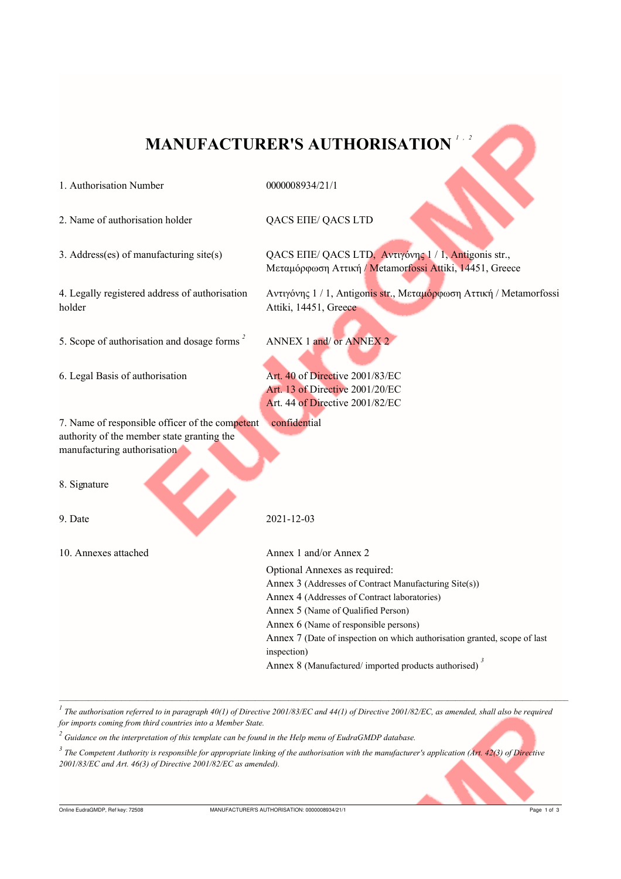# **MANUFACTURER'S AUTHORISATION**

#### 1. Authorisation Number

0000008934/21/1

2. Name of authorisation holder

3. Address(es) of manufacturing site(s)

QACS EIIE/ QACS LTD

Attiki, 14451, Greece

ANNEX 1 and/ or ANNEX 2

Art. 40 of Directive 2001/83/EC Art. 13 of Directive 2001/20/EC Art. 44 of Directive 2001/82/EC

QACS EΠΕ/ QACS LTD, Αντιγόνης 1/1, Antigonis str., Μεταμόρφωση Αττική / Metamorfossi Attiki, 14451, Greece

Αντιγόνης 1/1, Antigonis str., Μεταμόρφωση Αττική / Metamorfossi

4. Legally registered address of authorisation holder

5. Scope of authorisation and dosage forms<sup>2</sup>

6. Legal Basis of authorisation

7. Name of responsible officer of the competent confidential authority of the member state granting the manufacturing authorisation

8. Signature

9. Date

10. Annexes attached

2021-12-03

Annex 1 and/or Annex 2 Optional Annexes as required: Annex 3 (Addresses of Contract Manufacturing Site(s)) Annex 4 (Addresses of Contract laboratories) Annex 5 (Name of Qualified Person) Annex 6 (Name of responsible persons) Annex 7 (Date of inspection on which authorisation granted, scope of last inspection) Annex 8 (Manufactured/imported products authorised)<sup>3</sup>

The authorisation referred to in paragraph 40(1) of Directive 2001/83/EC and 44(1) of Directive 2001/82/EC, as amended, shall also be required for imports coming from third countries into a Member State.

 $\alpha$ <sup>2</sup> Guidance on the interpretation of this template can be found in the Help menu of EudraGMDP database.

<sup>3</sup> The Competent Authority is responsible for appropriate linking of the authorisation with the manufacturer's application (Art. 42(3) of Directive  $2001/83/EC$  and Art. 46(3) of Directive 2001/82/EC as amended).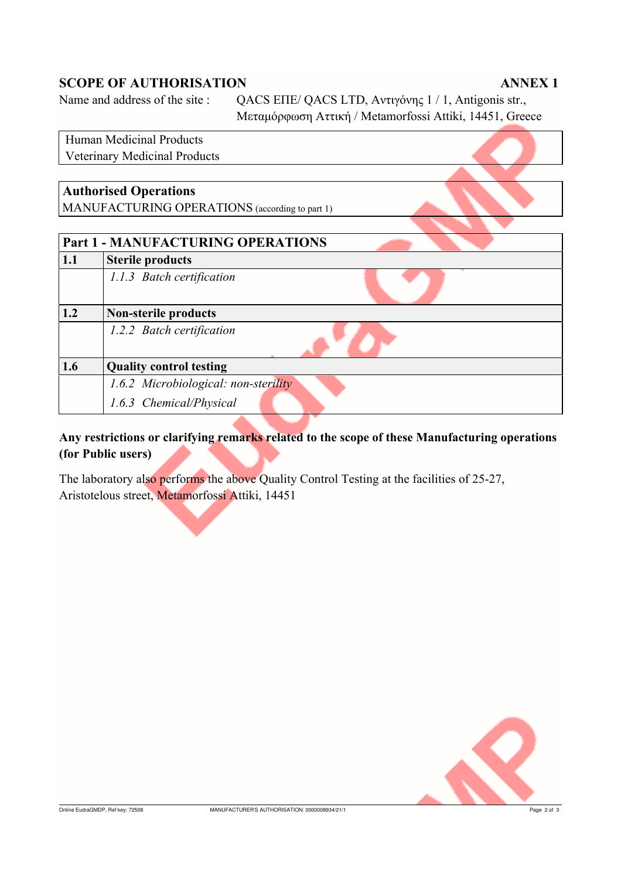### **SCOPE OF AUTHORISATION**

### **ANNEX1**

Name and address of the site:

QACS EΠΕ/ QACS LTD, Αντιγόνης 1/1, Antigonis str., Μεταμόρφωση Αττική / Metamorfossi Attiki, 14451, Greece

## **Human Medicinal Products Veterinary Medicinal Products Authorised Operations** MANUFACTURING OPERATIONS (according to part 1) **Part 1 - MANUFACTURING OPERATIONS**  $1.1$ **Sterile products** 1.1.3 Batch certification  $1.2$ **Non-sterile products** 1.2.2 Batch certification **Quality control testing** 1.6 1.6.2 Microbiological: non-sterility 1.6.3 Chemical/Physical

### Any restrictions or clarifying remarks related to the scope of these Manufacturing operations (for Public users)

The laboratory also performs the above Quality Control Testing at the facilities of 25-27, Aristotelous street, Metamorfossi Attiki, 14451

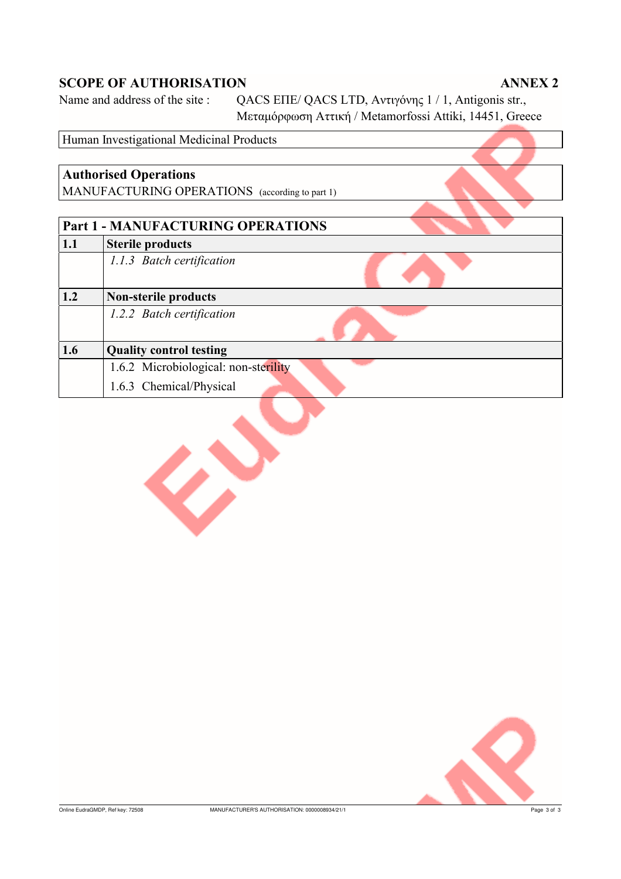### **SCOPE OF AUTHORISATION**

Ø

### **ANNEX 2**

Name and address of the site:

QACS EΠΕ/ QACS LTD, Αντιγόνης 1/1, Antigonis str., Μεταμόρφωση Αττική / Metamorfossi Attiki, 14451, Greece

Human Investigational Medicinal Products **Authorised Operations** MANUFACTURING OPERATIONS (according to part 1) **Part 1 - MANUFACTURING OPERATIONS Sterile products**  $1.1$ 1.1.3 Batch certification **Non-sterile products**  $1.2$ 1.2.2 Batch certification  $1.6$ **Quality control testing** 1.6.2 Microbiological: non-sterility 1.6.3 Chemical/Physical

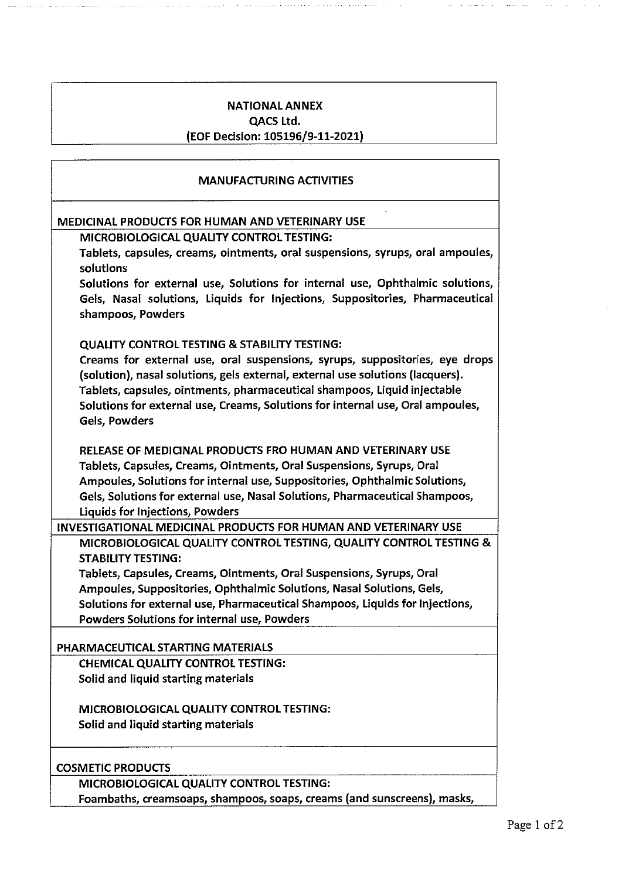### **NATIONAL ANNEX**

**OACS Ltd.** 

### (EOF Decision: 105196/9-11-2021)

### **MANUFACTURING ACTIVITIES**

### MEDICINAL PRODUCTS FOR HUMAN AND VETERINARY USE

MICROBIOLOGICAL QUALITY CONTROL TESTING:

Tablets, capsules, creams, ointments, oral suspensions, syrups, oral ampoules, solutions

Solutions for external use, Solutions for internal use, Ophthalmic solutions, Gels, Nasal solutions, Liquids for Injections, Suppositories, Pharmaceutical shampoos, Powders

### **QUALITY CONTROL TESTING & STABILITY TESTING:**

Creams for external use, oral suspensions, syrups, suppositories, eye drops (solution), nasal solutions, gels external, external use solutions (lacquers). Tablets, capsules, ointments, pharmaceutical shampoos, Liquid injectable Solutions for external use, Creams, Solutions for internal use, Oral ampoules, Gels, Powders

RELEASE OF MEDICINAL PRODUCTS FRO HUMAN AND VETERINARY USE Tablets, Capsules, Creams, Ointments, Oral Suspensions, Syrups, Oral Ampoules, Solutions for internal use, Suppositories, Ophthalmic Solutions, Gels, Solutions for external use, Nasal Solutions, Pharmaceutical Shampoos, **Liquids for Injections, Powders** 

### INVESTIGATIONAL MEDICINAL PRODUCTS FOR HUMAN AND VETERINARY USE

MICROBIOLOGICAL QUALITY CONTROL TESTING, QUALITY CONTROL TESTING & **STABILITY TESTING:** 

Tablets, Capsules, Creams, Ointments, Oral Suspensions, Syrups, Oral Ampoules, Suppositories, Ophthalmic Solutions, Nasal Solutions, Gels, Solutions for external use, Pharmaceutical Shampoos, Liquids for Injections, Powders Solutions for internal use, Powders

### PHARMACEUTICAL STARTING MATERIALS

**CHEMICAL QUALITY CONTROL TESTING:** Solid and liquid starting materials

**MICROBIOLOGICAL QUALITY CONTROL TESTING:** Solid and liquid starting materials

### **COSMETIC PRODUCTS**

MICROBIOLOGICAL QUALITY CONTROL TESTING: Foambaths, creamsoaps, shampoos, soaps, creams (and sunscreens), masks,